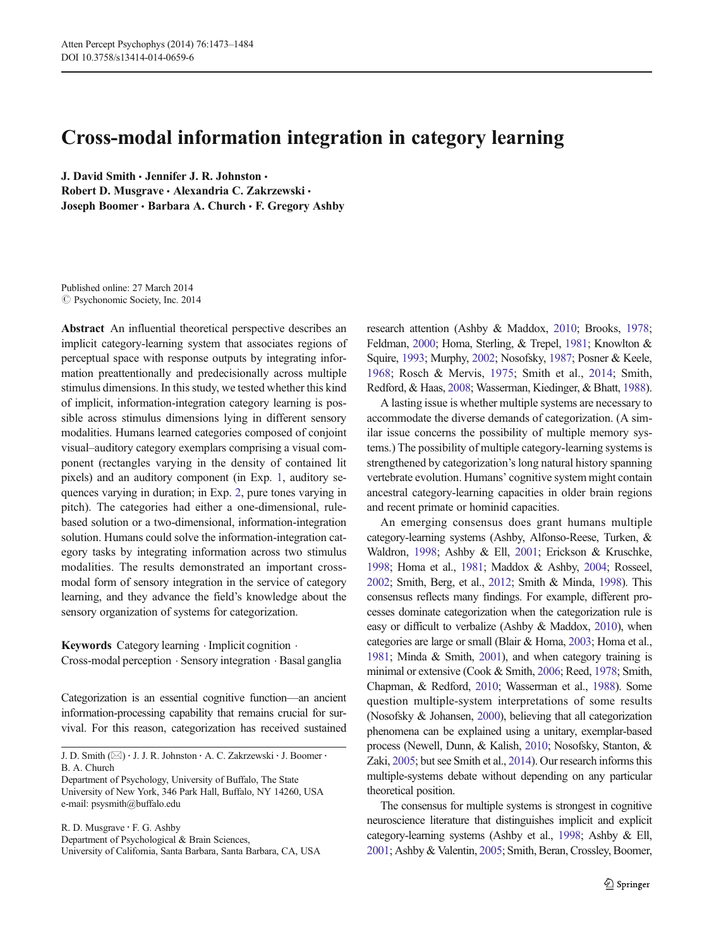# Cross-modal information integration in category learning

J. David Smith · Jennifer J. R. Johnston · Robert D. Musgrave · Alexandria C. Zakrzewski · Joseph Boomer · Barbara A. Church · F. Gregory Ashby

Published online: 27 March 2014  $\odot$  Psychonomic Society, Inc. 2014

Abstract An influential theoretical perspective describes an implicit category-learning system that associates regions of perceptual space with response outputs by integrating information preattentionally and predecisionally across multiple stimulus dimensions. In this study, we tested whether this kind of implicit, information-integration category learning is possible across stimulus dimensions lying in different sensory modalities. Humans learned categories composed of conjoint visual–auditory category exemplars comprising a visual component (rectangles varying in the density of contained lit pixels) and an auditory component (in Exp. [1,](#page-4-0) auditory sequences varying in duration; in Exp. [2](#page-6-0), pure tones varying in pitch). The categories had either a one-dimensional, rulebased solution or a two-dimensional, information-integration solution. Humans could solve the information-integration category tasks by integrating information across two stimulus modalities. The results demonstrated an important crossmodal form of sensory integration in the service of category learning, and they advance the field's knowledge about the sensory organization of systems for categorization.

Keywords Category learning . Implicit cognition . Cross-modal perception . Sensory integration . Basal ganglia

Categorization is an essential cognitive function—an ancient information-processing capability that remains crucial for survival. For this reason, categorization has received sustained

Department of Psychology, University of Buffalo, The State University of New York, 346 Park Hall, Buffalo, NY 14260, USA e-mail: psysmith@buffalo.edu

R. D. Musgrave : F. G. Ashby

Department of Psychological & Brain Sciences,

University of California, Santa Barbara, Santa Barbara, CA, USA

research attention (Ashby & Maddox, [2010](#page-10-0); Brooks, [1978;](#page-10-0) Feldman, [2000](#page-10-0); Homa, Sterling, & Trepel, [1981](#page-10-0); Knowlton & Squire, [1993](#page-10-0); Murphy, [2002;](#page-10-0) Nosofsky, [1987](#page-10-0); Posner & Keele, [1968;](#page-11-0) Rosch & Mervis, [1975;](#page-11-0) Smith et al., [2014](#page-11-0); Smith, Redford, & Haas, [2008;](#page-11-0) Wasserman, Kiedinger, & Bhatt, [1988\)](#page-11-0).

A lasting issue is whether multiple systems are necessary to accommodate the diverse demands of categorization. (A similar issue concerns the possibility of multiple memory systems.) The possibility of multiple category-learning systems is strengthened by categorization's long natural history spanning vertebrate evolution. Humans' cognitive system might contain ancestral category-learning capacities in older brain regions and recent primate or hominid capacities.

An emerging consensus does grant humans multiple category-learning systems (Ashby, Alfonso-Reese, Turken, & Waldron, [1998](#page-10-0); Ashby & Ell, [2001;](#page-10-0) Erickson & Kruschke, [1998](#page-10-0); Homa et al., [1981](#page-10-0); Maddox & Ashby, [2004](#page-10-0); Rosseel, [2002](#page-11-0); Smith, Berg, et al., [2012;](#page-11-0) Smith & Minda, [1998\)](#page-11-0). This consensus reflects many findings. For example, different processes dominate categorization when the categorization rule is easy or difficult to verbalize (Ashby & Maddox, [2010\)](#page-10-0), when categories are large or small (Blair & Homa, [2003](#page-10-0); Homa et al., [1981](#page-10-0); Minda & Smith, [2001\)](#page-10-0), and when category training is minimal or extensive (Cook & Smith, [2006](#page-10-0); Reed, [1978;](#page-11-0) Smith, Chapman, & Redford, [2010;](#page-11-0) Wasserman et al., [1988](#page-11-0)). Some question multiple-system interpretations of some results (Nosofsky & Johansen, [2000](#page-10-0)), believing that all categorization phenomena can be explained using a unitary, exemplar-based process (Newell, Dunn, & Kalish, [2010;](#page-10-0) Nosofsky, Stanton, & Zaki, [2005](#page-10-0); but see Smith et al., [2014](#page-11-0)). Our research informs this multiple-systems debate without depending on any particular theoretical position.

The consensus for multiple systems is strongest in cognitive neuroscience literature that distinguishes implicit and explicit category-learning systems (Ashby et al., [1998](#page-10-0); Ashby & Ell, [2001;](#page-10-0) Ashby & Valentin, [2005;](#page-10-0) Smith, Beran, Crossley, Boomer,

J. D. Smith (\*) : J. J. R. Johnston : A. C. Zakrzewski : J. Boomer : B. A. Church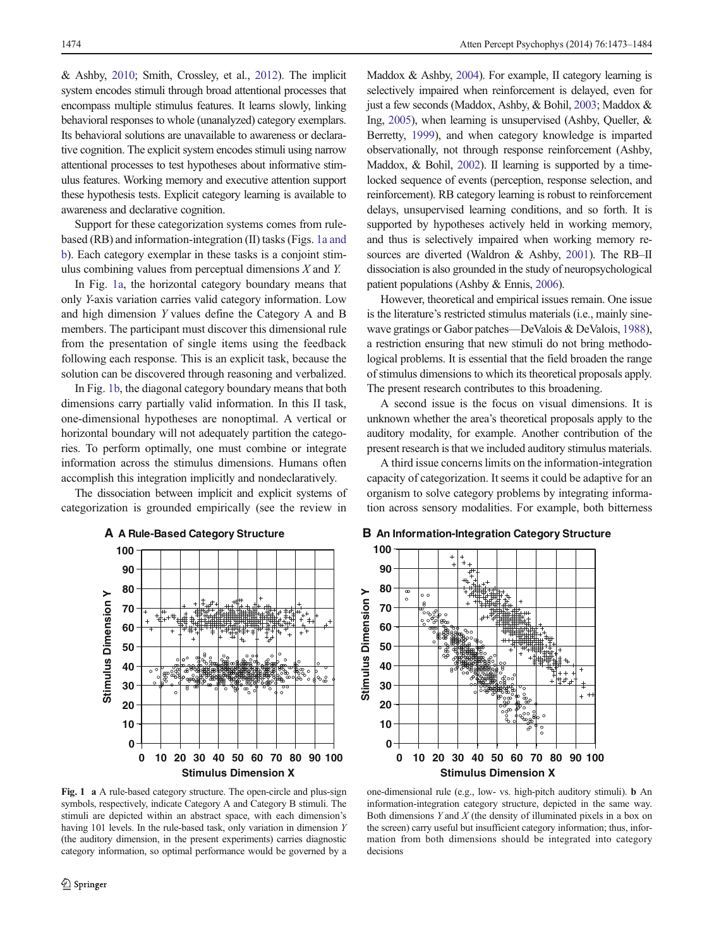<span id="page-1-0"></span>& Ashby, [2010](#page-11-0); Smith, Crossley, et al., [2012\)](#page-11-0). The implicit system encodes stimuli through broad attentional processes that encompass multiple stimulus features. It learns slowly, linking behavioral responses to whole (unanalyzed) category exemplars. Its behavioral solutions are unavailable to awareness or declarative cognition. The explicit system encodes stimuli using narrow attentional processes to test hypotheses about informative stimulus features. Working memory and executive attention support these hypothesis tests. Explicit category learning is available to awareness and declarative cognition.

Support for these categorization systems comes from rulebased (RB) and information-integration (II) tasks (Figs. 1a and b). Each category exemplar in these tasks is a conjoint stimulus combining values from perceptual dimensions  $X$  and  $Y$ .

In Fig. 1a, the horizontal category boundary means that only Y-axis variation carries valid category information. Low and high dimension Y values define the Category A and B members. The participant must discover this dimensional rule from the presentation of single items using the feedback following each response. This is an explicit task, because the solution can be discovered through reasoning and verbalized.

In Fig. 1b, the diagonal category boundary means that both dimensions carry partially valid information. In this II task, one-dimensional hypotheses are nonoptimal. A vertical or horizontal boundary will not adequately partition the categories. To perform optimally, one must combine or integrate information across the stimulus dimensions. Humans often accomplish this integration implicitly and nondeclaratively.

The dissociation between implicit and explicit systems of categorization is grounded empirically (see the review in



Fig. 1 a A rule-based category structure. The open-circle and plus-sign symbols, respectively, indicate Category A and Category B stimuli. The stimuli are depicted within an abstract space, with each dimension's having 101 levels. In the rule-based task, only variation in dimension Y (the auditory dimension, in the present experiments) carries diagnostic category information, so optimal performance would be governed by a Maddox & Ashby, [2004\)](#page-10-0). For example, II category learning is selectively impaired when reinforcement is delayed, even for just a few seconds (Maddox, Ashby, & Bohil, [2003;](#page-10-0) Maddox & Ing, [2005](#page-10-0)), when learning is unsupervised (Ashby, Queller, & Berretty, [1999\)](#page-10-0), and when category knowledge is imparted observationally, not through response reinforcement (Ashby, Maddox, & Bohil, [2002\)](#page-10-0). II learning is supported by a timelocked sequence of events (perception, response selection, and reinforcement). RB category learning is robust to reinforcement delays, unsupervised learning conditions, and so forth. It is supported by hypotheses actively held in working memory, and thus is selectively impaired when working memory resources are diverted (Waldron & Ashby, [2001\)](#page-11-0). The RB–II dissociation is also grounded in the study of neuropsychological patient populations (Ashby & Ennis, [2006\)](#page-10-0).

However, theoretical and empirical issues remain. One issue is the literature's restricted stimulus materials (i.e., mainly sinewave gratings or Gabor patches—DeValois & DeValois, [1988\)](#page-10-0), a restriction ensuring that new stimuli do not bring methodological problems. It is essential that the field broaden the range of stimulus dimensions to which its theoretical proposals apply. The present research contributes to this broadening.

A second issue is the focus on visual dimensions. It is unknown whether the area's theoretical proposals apply to the auditory modality, for example. Another contribution of the present research is that we included auditory stimulus materials.

A third issue concerns limits on the information-integration capacity of categorization. It seems it could be adaptive for an organism to solve category problems by integrating information across sensory modalities. For example, both bitterness

**B An Information-Integration Category Structure**



one-dimensional rule (e.g., low- vs. high-pitch auditory stimuli). b An information-integration category structure, depicted in the same way. Both dimensions  $Y$  and  $X$  (the density of illuminated pixels in a box on the screen) carry useful but insufficient category information; thus, information from both dimensions should be integrated into category decisions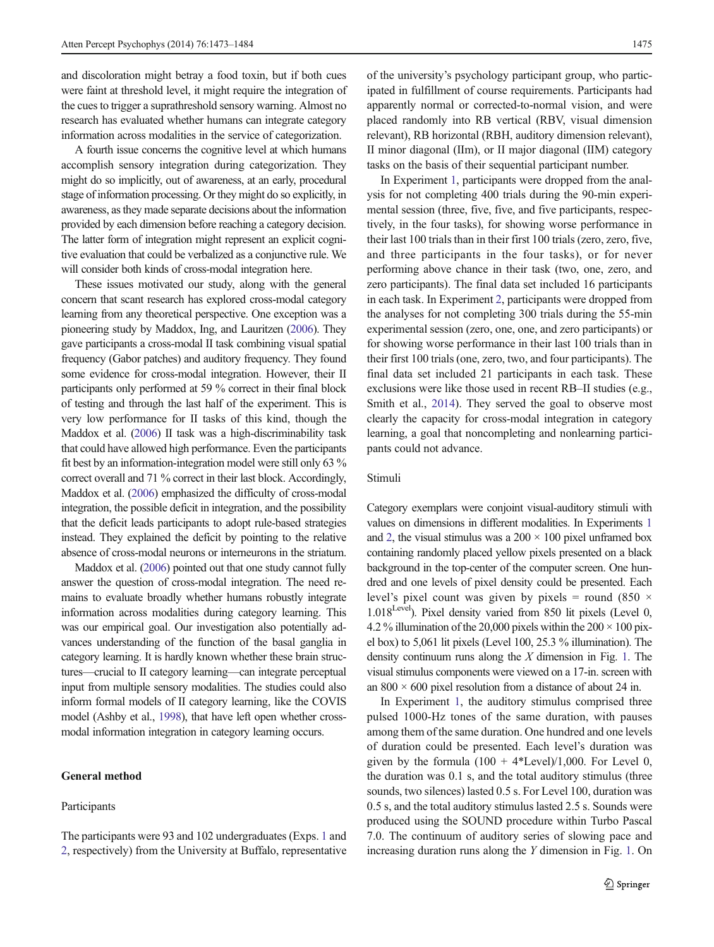and discoloration might betray a food toxin, but if both cues were faint at threshold level, it might require the integration of the cues to trigger a suprathreshold sensory warning. Almost no research has evaluated whether humans can integrate category information across modalities in the service of categorization.

A fourth issue concerns the cognitive level at which humans accomplish sensory integration during categorization. They might do so implicitly, out of awareness, at an early, procedural stage of information processing. Or they might do so explicitly, in awareness, as they made separate decisions about the information provided by each dimension before reaching a category decision. The latter form of integration might represent an explicit cognitive evaluation that could be verbalized as a conjunctive rule. We will consider both kinds of cross-modal integration here.

These issues motivated our study, along with the general concern that scant research has explored cross-modal category learning from any theoretical perspective. One exception was a pioneering study by Maddox, Ing, and Lauritzen [\(2006](#page-10-0)). They gave participants a cross-modal II task combining visual spatial frequency (Gabor patches) and auditory frequency. They found some evidence for cross-modal integration. However, their II participants only performed at 59 % correct in their final block of testing and through the last half of the experiment. This is very low performance for II tasks of this kind, though the Maddox et al. [\(2006](#page-10-0)) II task was a high-discriminability task that could have allowed high performance. Even the participants fit best by an information-integration model were still only 63 % correct overall and 71 % correct in their last block. Accordingly, Maddox et al. ([2006\)](#page-10-0) emphasized the difficulty of cross-modal integration, the possible deficit in integration, and the possibility that the deficit leads participants to adopt rule-based strategies instead. They explained the deficit by pointing to the relative absence of cross-modal neurons or interneurons in the striatum.

Maddox et al. [\(2006\)](#page-10-0) pointed out that one study cannot fully answer the question of cross-modal integration. The need remains to evaluate broadly whether humans robustly integrate information across modalities during category learning. This was our empirical goal. Our investigation also potentially advances understanding of the function of the basal ganglia in category learning. It is hardly known whether these brain structures—crucial to II category learning—can integrate perceptual input from multiple sensory modalities. The studies could also inform formal models of II category learning, like the COVIS model (Ashby et al., [1998](#page-10-0)), that have left open whether crossmodal information integration in category learning occurs.

# General method

### Participants

of the university's psychology participant group, who participated in fulfillment of course requirements. Participants had apparently normal or corrected-to-normal vision, and were placed randomly into RB vertical (RBV, visual dimension relevant), RB horizontal (RBH, auditory dimension relevant), II minor diagonal (IIm), or II major diagonal (IIM) category tasks on the basis of their sequential participant number.

In Experiment [1,](#page-4-0) participants were dropped from the analysis for not completing 400 trials during the 90-min experimental session (three, five, five, and five participants, respectively, in the four tasks), for showing worse performance in their last 100 trials than in their first 100 trials (zero, zero, five, and three participants in the four tasks), or for never performing above chance in their task (two, one, zero, and zero participants). The final data set included 16 participants in each task. In Experiment [2,](#page-6-0) participants were dropped from the analyses for not completing 300 trials during the 55-min experimental session (zero, one, one, and zero participants) or for showing worse performance in their last 100 trials than in their first 100 trials (one, zero, two, and four participants). The final data set included 21 participants in each task. These exclusions were like those used in recent RB–II studies (e.g., Smith et al., [2014\)](#page-11-0). They served the goal to observe most clearly the capacity for cross-modal integration in category learning, a goal that noncompleting and nonlearning participants could not advance.

# Stimuli

Category exemplars were conjoint visual-auditory stimuli with values on dimensions in different modalities. In Experiments [1](#page-4-0) and [2](#page-6-0), the visual stimulus was a  $200 \times 100$  pixel unframed box containing randomly placed yellow pixels presented on a black background in the top-center of the computer screen. One hundred and one levels of pixel density could be presented. Each level's pixel count was given by pixels = round  $(850 \times$  $1.018$ <sup>Level</sup>). Pixel density varied from 850 lit pixels (Level 0, 4.2 % illumination of the 20,000 pixels within the  $200 \times 100$  pixel box) to 5,061 lit pixels (Level 100, 25.3 % illumination). The density continuum runs along the  $X$  dimension in Fig. [1.](#page-1-0) The visual stimulus components were viewed on a 17-in. screen with an  $800 \times 600$  pixel resolution from a distance of about 24 in.

In Experiment [1](#page-4-0), the auditory stimulus comprised three pulsed 1000-Hz tones of the same duration, with pauses among them of the same duration. One hundred and one levels of duration could be presented. Each level's duration was given by the formula  $(100 + 4 *Level)/1,000$ . For Level 0, the duration was 0.1 s, and the total auditory stimulus (three sounds, two silences) lasted 0.5 s. For Level 100, duration was 0.5 s, and the total auditory stimulus lasted 2.5 s. Sounds were produced using the SOUND procedure within Turbo Pascal 7.0. The continuum of auditory series of slowing pace and increasing duration runs along the Y dimension in Fig. [1.](#page-1-0) On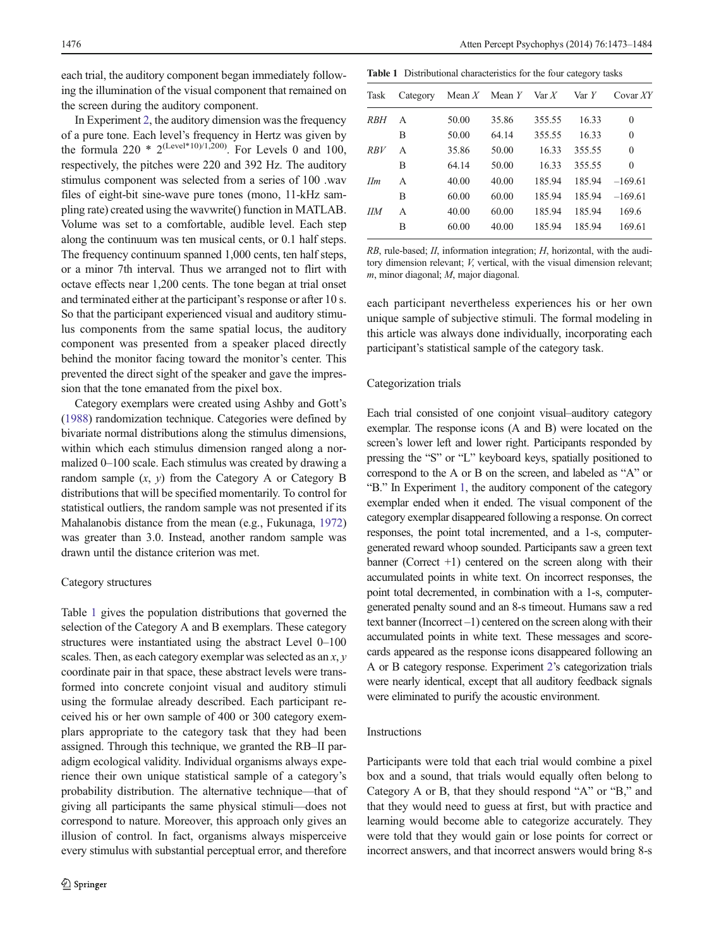each trial, the auditory component began immediately following the illumination of the visual component that remained on the screen during the auditory component.

In Experiment [2](#page-6-0), the auditory dimension was the frequency of a pure tone. Each level's frequency in Hertz was given by the formula 220  $* 2^{(Level*10)/1,200)}$ . For Levels 0 and 100, respectively, the pitches were 220 and 392 Hz. The auditory stimulus component was selected from a series of 100 .wav files of eight-bit sine-wave pure tones (mono, 11-kHz sampling rate) created using the wavwrite() function in MATLAB. Volume was set to a comfortable, audible level. Each step along the continuum was ten musical cents, or 0.1 half steps. The frequency continuum spanned 1,000 cents, ten half steps, or a minor 7th interval. Thus we arranged not to flirt with octave effects near 1,200 cents. The tone began at trial onset and terminated either at the participant's response or after 10 s. So that the participant experienced visual and auditory stimulus components from the same spatial locus, the auditory component was presented from a speaker placed directly behind the monitor facing toward the monitor's center. This prevented the direct sight of the speaker and gave the impression that the tone emanated from the pixel box.

Category exemplars were created using Ashby and Gott's [\(1988\)](#page-10-0) randomization technique. Categories were defined by bivariate normal distributions along the stimulus dimensions, within which each stimulus dimension ranged along a normalized 0–100 scale. Each stimulus was created by drawing a random sample  $(x, y)$  from the Category A or Category B distributions that will be specified momentarily. To control for statistical outliers, the random sample was not presented if its Mahalanobis distance from the mean (e.g., Fukunaga, [1972\)](#page-10-0) was greater than 3.0. Instead, another random sample was drawn until the distance criterion was met.

# Category structures

Table 1 gives the population distributions that governed the selection of the Category A and B exemplars. These category structures were instantiated using the abstract Level 0–100 scales. Then, as each category exemplar was selected as an  $x, y$ coordinate pair in that space, these abstract levels were transformed into concrete conjoint visual and auditory stimuli using the formulae already described. Each participant received his or her own sample of 400 or 300 category exemplars appropriate to the category task that they had been assigned. Through this technique, we granted the RB–II paradigm ecological validity. Individual organisms always experience their own unique statistical sample of a category's probability distribution. The alternative technique—that of giving all participants the same physical stimuli—does not correspond to nature. Moreover, this approach only gives an illusion of control. In fact, organisms always misperceive every stimulus with substantial perceptual error, and therefore

Table 1 Distributional characteristics for the four category tasks

| Task       | Category |       | Mean X Mean Y Var X |        | Var Y  | Covar $XY$ |  |
|------------|----------|-------|---------------------|--------|--------|------------|--|
| RBH        | A        | 50.00 | 35.86               | 355.55 | 16.33  | $\Omega$   |  |
|            | B        | 50.00 | 64.14               | 355.55 | 16.33  | $\theta$   |  |
| <i>RBV</i> | A        | 35.86 | 50.00               | 16.33  | 355.55 | $\theta$   |  |
|            | B        | 64.14 | 50.00               | 16.33  | 355.55 | $\Omega$   |  |
| IIm        | A        | 40.00 | 40.00               | 185.94 | 185.94 | $-169.61$  |  |
|            | В        | 60.00 | 60.00               | 185.94 | 185.94 | $-169.61$  |  |
| HМ         | A        | 40.00 | 60.00               | 185.94 | 185.94 | 169.6      |  |
|            | B        | 60.00 | 40.00               | 185.94 | 185.94 | 169.61     |  |
|            |          |       |                     |        |        |            |  |

RB, rule-based; II, information integration; H, horizontal, with the auditory dimension relevant; V, vertical, with the visual dimension relevant; m, minor diagonal; M, major diagonal.

each participant nevertheless experiences his or her own unique sample of subjective stimuli. The formal modeling in this article was always done individually, incorporating each participant's statistical sample of the category task.

# Categorization trials

Each trial consisted of one conjoint visual–auditory category exemplar. The response icons (A and B) were located on the screen's lower left and lower right. Participants responded by pressing the "S" or "L" keyboard keys, spatially positioned to correspond to the A or B on the screen, and labeled as "A" or "B." In Experiment [1](#page-4-0), the auditory component of the category exemplar ended when it ended. The visual component of the category exemplar disappeared following a response. On correct responses, the point total incremented, and a 1-s, computergenerated reward whoop sounded. Participants saw a green text banner (Correct +1) centered on the screen along with their accumulated points in white text. On incorrect responses, the point total decremented, in combination with a 1-s, computergenerated penalty sound and an 8-s timeout. Humans saw a red text banner (Incorrect –1) centered on the screen along with their accumulated points in white text. These messages and scorecards appeared as the response icons disappeared following an A or B category response. Experiment [2](#page-6-0)'s categorization trials were nearly identical, except that all auditory feedback signals were eliminated to purify the acoustic environment.

# Instructions

Participants were told that each trial would combine a pixel box and a sound, that trials would equally often belong to Category A or B, that they should respond "A" or "B," and that they would need to guess at first, but with practice and learning would become able to categorize accurately. They were told that they would gain or lose points for correct or incorrect answers, and that incorrect answers would bring 8-s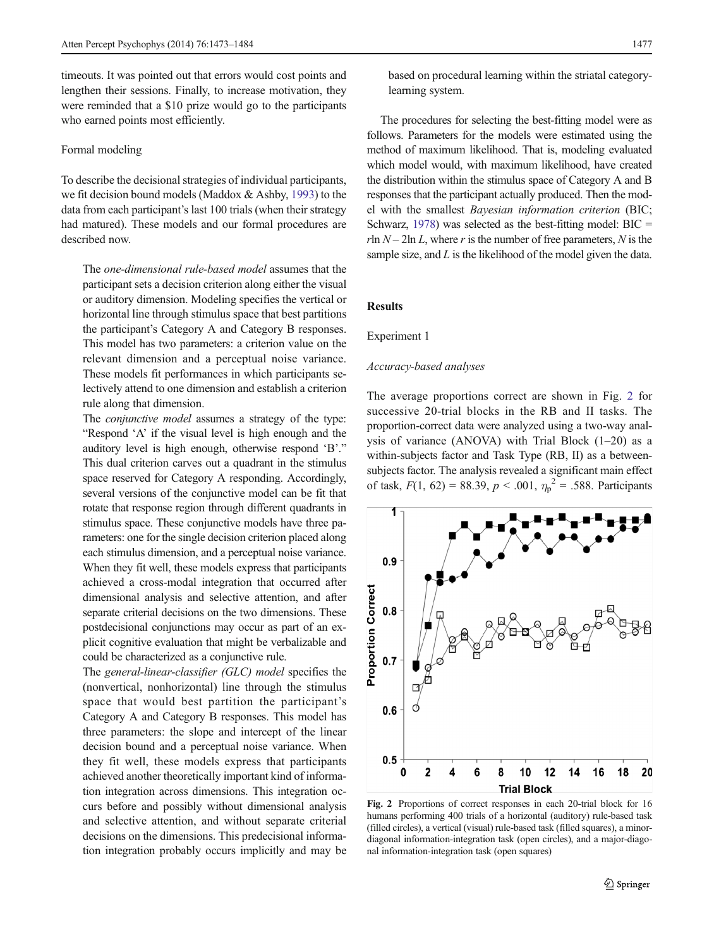<span id="page-4-0"></span>timeouts. It was pointed out that errors would cost points and lengthen their sessions. Finally, to increase motivation, they were reminded that a \$10 prize would go to the participants who earned points most efficiently.

#### Formal modeling

To describe the decisional strategies of individual participants, we fit decision bound models (Maddox & Ashby, [1993](#page-10-0)) to the data from each participant's last 100 trials (when their strategy had matured). These models and our formal procedures are described now.

The one-dimensional rule-based model assumes that the participant sets a decision criterion along either the visual or auditory dimension. Modeling specifies the vertical or horizontal line through stimulus space that best partitions the participant's Category A and Category B responses. This model has two parameters: a criterion value on the relevant dimension and a perceptual noise variance. These models fit performances in which participants selectively attend to one dimension and establish a criterion rule along that dimension.

The *conjunctive model* assumes a strategy of the type: "Respond 'A' if the visual level is high enough and the auditory level is high enough, otherwise respond 'B'." This dual criterion carves out a quadrant in the stimulus space reserved for Category A responding. Accordingly, several versions of the conjunctive model can be fit that rotate that response region through different quadrants in stimulus space. These conjunctive models have three parameters: one for the single decision criterion placed along each stimulus dimension, and a perceptual noise variance. When they fit well, these models express that participants achieved a cross-modal integration that occurred after dimensional analysis and selective attention, and after separate criterial decisions on the two dimensions. These postdecisional conjunctions may occur as part of an explicit cognitive evaluation that might be verbalizable and could be characterized as a conjunctive rule.

The general-linear-classifier (GLC) model specifies the (nonvertical, nonhorizontal) line through the stimulus space that would best partition the participant's Category A and Category B responses. This model has three parameters: the slope and intercept of the linear decision bound and a perceptual noise variance. When they fit well, these models express that participants achieved another theoretically important kind of information integration across dimensions. This integration occurs before and possibly without dimensional analysis and selective attention, and without separate criterial decisions on the dimensions. This predecisional information integration probably occurs implicitly and may be

based on procedural learning within the striatal categorylearning system.

The procedures for selecting the best-fitting model were as follows. Parameters for the models were estimated using the method of maximum likelihood. That is, modeling evaluated which model would, with maximum likelihood, have created the distribution within the stimulus space of Category A and B responses that the participant actually produced. Then the model with the smallest Bayesian information criterion (BIC; Schwarz, [1978](#page-11-0)) was selected as the best-fitting model:  $BIC =$  $r \ln N - 2 \ln L$ , where r is the number of free parameters, N is the sample size, and  $L$  is the likelihood of the model given the data.

# Results

#### Experiment 1

# Accuracy-based analyses

The average proportions correct are shown in Fig. 2 for successive 20-trial blocks in the RB and II tasks. The proportion-correct data were analyzed using a two-way analysis of variance (ANOVA) with Trial Block (1–20) as a within-subjects factor and Task Type (RB, II) as a betweensubjects factor. The analysis revealed a significant main effect of task,  $F(1, 62) = 88.39, p < .001, \eta_p^2 = .588$ . Participants



Fig. 2 Proportions of correct responses in each 20-trial block for 16 humans performing 400 trials of a horizontal (auditory) rule-based task (filled circles), a vertical (visual) rule-based task (filled squares), a minordiagonal information-integration task (open circles), and a major-diagonal information-integration task (open squares)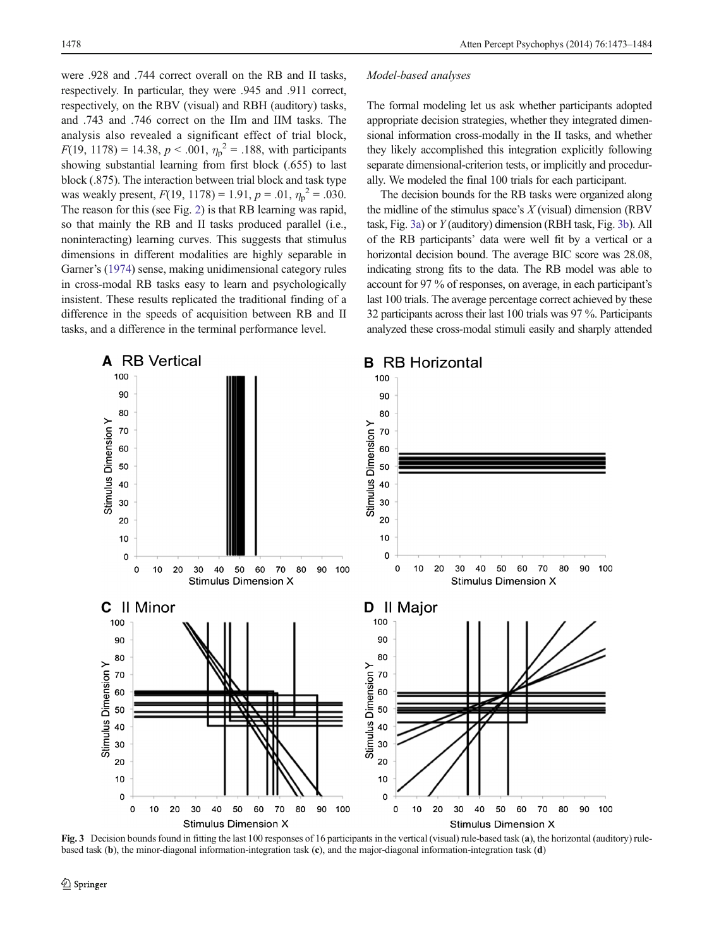<span id="page-5-0"></span>were .928 and .744 correct overall on the RB and II tasks, respectively. In particular, they were .945 and .911 correct, respectively, on the RBV (visual) and RBH (auditory) tasks, and .743 and .746 correct on the IIm and IIM tasks. The analysis also revealed a significant effect of trial block,  $F(19, 1178) = 14.38, p < .001, \eta_p^2 = .188$ , with participants showing substantial learning from first block (.655) to last block (.875). The interaction between trial block and task type was weakly present,  $F(19, 1178) = 1.91$ ,  $p = .01$ ,  $\eta_p^2 = .030$ . The reason for this (see Fig. [2\)](#page-4-0) is that RB learning was rapid, so that mainly the RB and II tasks produced parallel (i.e., noninteracting) learning curves. This suggests that stimulus dimensions in different modalities are highly separable in Garner's [\(1974\)](#page-10-0) sense, making unidimensional category rules in cross-modal RB tasks easy to learn and psychologically insistent. These results replicated the traditional finding of a difference in the speeds of acquisition between RB and II tasks, and a difference in the terminal performance level.

# Model-based analyses

The formal modeling let us ask whether participants adopted appropriate decision strategies, whether they integrated dimensional information cross-modally in the II tasks, and whether they likely accomplished this integration explicitly following separate dimensional-criterion tests, or implicitly and procedurally. We modeled the final 100 trials for each participant.

The decision bounds for the RB tasks were organized along the midline of the stimulus space's  $X$  (visual) dimension (RBV) task, Fig. 3a) or Y (auditory) dimension (RBH task, Fig. 3b). All of the RB participants' data were well fit by a vertical or a horizontal decision bound. The average BIC score was 28.08, indicating strong fits to the data. The RB model was able to account for 97 % of responses, on average, in each participant's last 100 trials. The average percentage correct achieved by these 32 participants across their last 100 trials was 97 %. Participants analyzed these cross-modal stimuli easily and sharply attended



Fig. 3 Decision bounds found in fitting the last 100 responses of 16 participants in the vertical (visual) rule-based task (a), the horizontal (auditory) rulebased task (b), the minor-diagonal information-integration task (c), and the major-diagonal information-integration task (d)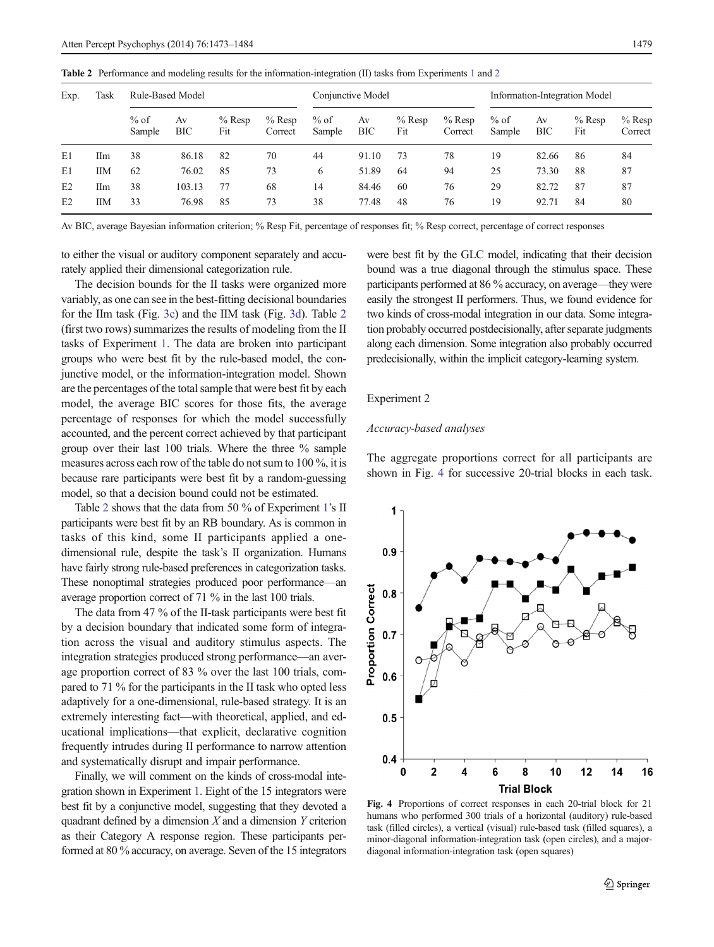| Exp.           | Task | Rule-Based Model |           |                 | Conjunctive Model   |                  |                  | Information-Integration Model |                     |                  |                  |                 |                     |
|----------------|------|------------------|-----------|-----------------|---------------------|------------------|------------------|-------------------------------|---------------------|------------------|------------------|-----------------|---------------------|
|                |      | $%$ of<br>Sample | Av<br>BIC | $%$ Resp<br>Fit | $%$ Resp<br>Correct | $%$ of<br>Sample | Av<br><b>BIC</b> | $%$ Resp<br>Fit               | $%$ Resp<br>Correct | $%$ of<br>Sample | Av<br><b>BIC</b> | $%$ Resp<br>Fit | $%$ Resp<br>Correct |
| E1             | Пm   | 38               | 86.18     | 82              | 70                  | 44               | 91.10            | 73                            | 78                  | 19               | 82.66            | 86              | 84                  |
| E1             | ШΜ   | 62               | 76.02     | 85              | 73                  | 6                | 51.89            | 64                            | 94                  | 25               | 73.30            | 88              | 87                  |
| E <sub>2</sub> | Пm   | 38               | 103.13    | 77              | 68                  | 14               | 84.46            | 60                            | 76                  | 29               | 82.72            | 87              | 87                  |
| E <sub>2</sub> | ШΜ   | 33               | 76.98     | 85              | 73                  | 38               | 77.48            | 48                            | 76                  | 19               | 92.71            | 84              | 80                  |

<span id="page-6-0"></span>Table 2 Performance and modeling results for the information-integration (II) tasks from Experiments [1](#page-4-0) and 2

Av BIC, average Bayesian information criterion; % Resp Fit, percentage of responses fit; % Resp correct, percentage of correct responses

to either the visual or auditory component separately and accurately applied their dimensional categorization rule.

The decision bounds for the II tasks were organized more variably, as one can see in the best-fitting decisional boundaries for the IIm task (Fig. [3c\)](#page-5-0) and the IIM task (Fig. [3d](#page-5-0)). Table 2 (first two rows) summarizes the results of modeling from the II tasks of Experiment [1](#page-4-0). The data are broken into participant groups who were best fit by the rule-based model, the conjunctive model, or the information-integration model. Shown are the percentages of the total sample that were best fit by each model, the average BIC scores for those fits, the average percentage of responses for which the model successfully accounted, and the percent correct achieved by that participant group over their last 100 trials. Where the three % sample measures across each row of the table do not sum to 100 %, it is because rare participants were best fit by a random-guessing model, so that a decision bound could not be estimated.

Table 2 shows that the data from 50 % of Experiment [1](#page-4-0)'s II participants were best fit by an RB boundary. As is common in tasks of this kind, some II participants applied a onedimensional rule, despite the task's II organization. Humans have fairly strong rule-based preferences in categorization tasks. These nonoptimal strategies produced poor performance—an average proportion correct of 71 % in the last 100 trials.

The data from 47 % of the II-task participants were best fit by a decision boundary that indicated some form of integration across the visual and auditory stimulus aspects. The integration strategies produced strong performance—an average proportion correct of 83 % over the last 100 trials, compared to 71 % for the participants in the II task who opted less adaptively for a one-dimensional, rule-based strategy. It is an extremely interesting fact—with theoretical, applied, and educational implications—that explicit, declarative cognition frequently intrudes during II performance to narrow attention and systematically disrupt and impair performance.

Finally, we will comment on the kinds of cross-modal integration shown in Experiment [1.](#page-4-0) Eight of the 15 integrators were best fit by a conjunctive model, suggesting that they devoted a quadrant defined by a dimension  $X$  and a dimension  $Y$  criterion as their Category A response region. These participants performed at 80 % accuracy, on average. Seven of the 15 integrators were best fit by the GLC model, indicating that their decision bound was a true diagonal through the stimulus space. These participants performed at 86 % accuracy, on average—they were easily the strongest II performers. Thus, we found evidence for two kinds of cross-modal integration in our data. Some integration probably occurred postdecisionally, after separate judgments along each dimension. Some integration also probably occurred predecisionally, within the implicit category-learning system.

# Experiment 2

#### Accuracy-based analyses

The aggregate proportions correct for all participants are shown in Fig. 4 for successive 20-trial blocks in each task.



Fig. 4 Proportions of correct responses in each 20-trial block for 21 humans who performed 300 trials of a horizontal (auditory) rule-based task (filled circles), a vertical (visual) rule-based task (filled squares), a minor-diagonal information-integration task (open circles), and a majordiagonal information-integration task (open squares)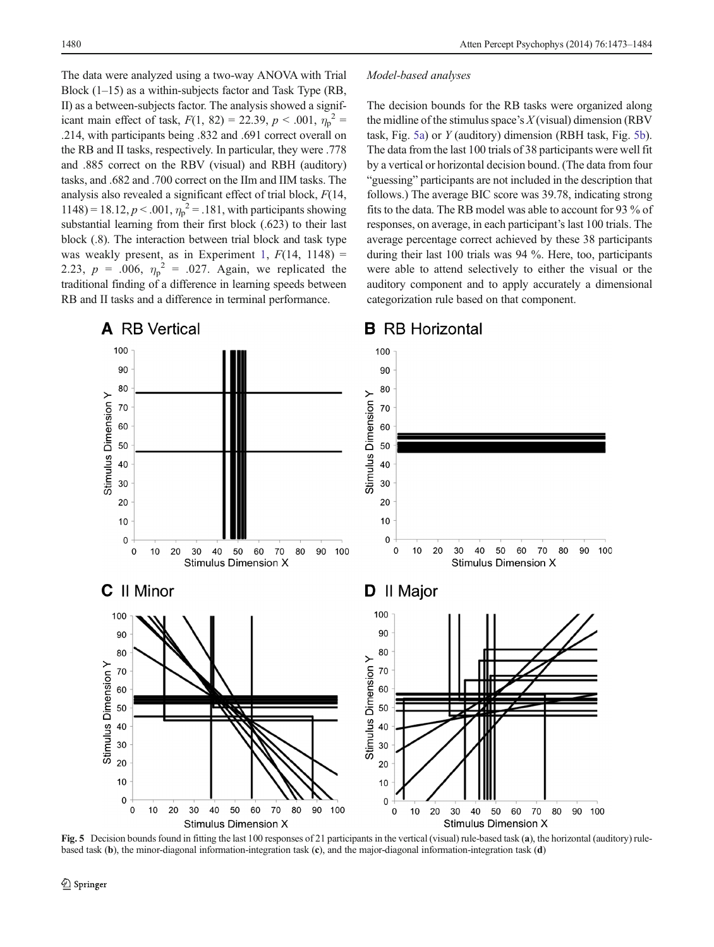<span id="page-7-0"></span>The data were analyzed using a two-way ANOVA with Trial Block (1–15) as a within-subjects factor and Task Type (RB, II) as a between-subjects factor. The analysis showed a significant main effect of task,  $F(1, 82) = 22.39$ ,  $p < .001$ ,  $\eta_p^2 =$ .214, with participants being .832 and .691 correct overall on the RB and II tasks, respectively. In particular, they were .778 and .885 correct on the RBV (visual) and RBH (auditory) tasks, and .682 and .700 correct on the IIm and IIM tasks. The analysis also revealed a significant effect of trial block, F(14, 1148) = 18.12,  $p < .001$ ,  $\eta_p^2 = .181$ , with participants showing substantial learning from their first block (.623) to their last block (.8). The interaction between trial block and task type was weakly present, as in Experiment [1](#page-4-0),  $F(14, 1148) =$ 2.23,  $p = .006$ ,  $\eta_p^2 = .027$ . Again, we replicated the traditional finding of a difference in learning speeds between RB and II tasks and a difference in terminal performance.

## Model-based analyses

The decision bounds for the RB tasks were organized along the midline of the stimulus space's  $X$  (visual) dimension (RBV) task, Fig. 5a) or Y (auditory) dimension (RBH task, Fig. 5b). The data from the last 100 trials of 38 participants were well fit by a vertical or horizontal decision bound. (The data from four "guessing" participants are not included in the description that follows.) The average BIC score was 39.78, indicating strong fits to the data. The RB model was able to account for 93 % of responses, on average, in each participant's last 100 trials. The average percentage correct achieved by these 38 participants during their last 100 trials was 94 %. Here, too, participants were able to attend selectively to either the visual or the auditory component and to apply accurately a dimensional categorization rule based on that component.



Fig. 5 Decision bounds found in fitting the last 100 responses of 21 participants in the vertical (visual) rule-based task (a), the horizontal (auditory) rulebased task (b), the minor-diagonal information-integration task (c), and the major-diagonal information-integration task (d)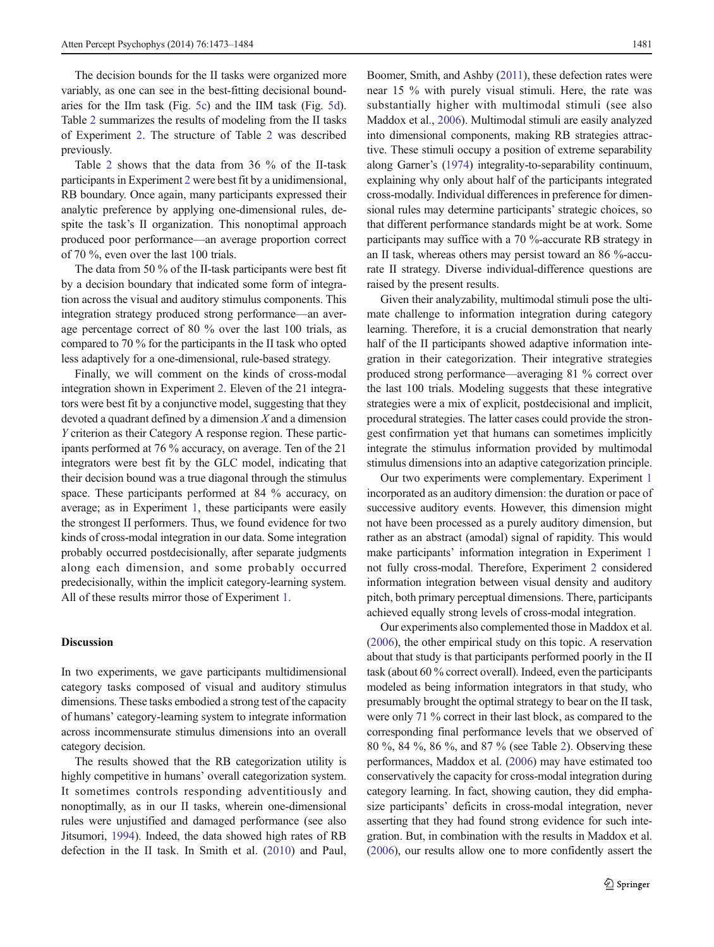The decision bounds for the II tasks were organized more variably, as one can see in the best-fitting decisional boundaries for the IIm task (Fig. [5c](#page-7-0)) and the IIM task (Fig. [5d\)](#page-7-0). Table [2](#page-6-0) summarizes the results of modeling from the II tasks of Experiment [2.](#page-6-0) The structure of Table [2](#page-6-0) was described previously.

Table [2](#page-6-0) shows that the data from 36 % of the II-task participants in Experiment [2](#page-6-0) were best fit by a unidimensional, RB boundary. Once again, many participants expressed their analytic preference by applying one-dimensional rules, despite the task's II organization. This nonoptimal approach produced poor performance—an average proportion correct of 70 %, even over the last 100 trials.

The data from 50 % of the II-task participants were best fit by a decision boundary that indicated some form of integration across the visual and auditory stimulus components. This integration strategy produced strong performance—an average percentage correct of 80 % over the last 100 trials, as compared to 70 % for the participants in the II task who opted less adaptively for a one-dimensional, rule-based strategy.

Finally, we will comment on the kinds of cross-modal integration shown in Experiment [2.](#page-6-0) Eleven of the 21 integrators were best fit by a conjunctive model, suggesting that they devoted a quadrant defined by a dimension  $X$  and a dimension Y criterion as their Category A response region. These participants performed at 76 % accuracy, on average. Ten of the 21 integrators were best fit by the GLC model, indicating that their decision bound was a true diagonal through the stimulus space. These participants performed at 84 % accuracy, on average; as in Experiment [1](#page-4-0), these participants were easily the strongest II performers. Thus, we found evidence for two kinds of cross-modal integration in our data. Some integration probably occurred postdecisionally, after separate judgments along each dimension, and some probably occurred predecisionally, within the implicit category-learning system. All of these results mirror those of Experiment [1](#page-4-0).

# Discussion

In two experiments, we gave participants multidimensional category tasks composed of visual and auditory stimulus dimensions. These tasks embodied a strong test of the capacity of humans' category-learning system to integrate information across incommensurate stimulus dimensions into an overall category decision.

The results showed that the RB categorization utility is highly competitive in humans' overall categorization system. It sometimes controls responding adventitiously and nonoptimally, as in our II tasks, wherein one-dimensional rules were unjustified and damaged performance (see also Jitsumori, [1994](#page-10-0)). Indeed, the data showed high rates of RB defection in the II task. In Smith et al. ([2010\)](#page-11-0) and Paul,

Boomer, Smith, and Ashby [\(2011\)](#page-11-0), these defection rates were near 15 % with purely visual stimuli. Here, the rate was substantially higher with multimodal stimuli (see also Maddox et al., [2006\)](#page-10-0). Multimodal stimuli are easily analyzed into dimensional components, making RB strategies attractive. These stimuli occupy a position of extreme separability along Garner's [\(1974\)](#page-10-0) integrality-to-separability continuum, explaining why only about half of the participants integrated cross-modally. Individual differences in preference for dimensional rules may determine participants' strategic choices, so that different performance standards might be at work. Some participants may suffice with a 70 %-accurate RB strategy in an II task, whereas others may persist toward an 86 %-accurate II strategy. Diverse individual-difference questions are raised by the present results.

Given their analyzability, multimodal stimuli pose the ultimate challenge to information integration during category learning. Therefore, it is a crucial demonstration that nearly half of the II participants showed adaptive information integration in their categorization. Their integrative strategies produced strong performance—averaging 81 % correct over the last 100 trials. Modeling suggests that these integrative strategies were a mix of explicit, postdecisional and implicit, procedural strategies. The latter cases could provide the strongest confirmation yet that humans can sometimes implicitly integrate the stimulus information provided by multimodal stimulus dimensions into an adaptive categorization principle.

Our two experiments were complementary. Experiment [1](#page-4-0) incorporated as an auditory dimension: the duration or pace of successive auditory events. However, this dimension might not have been processed as a purely auditory dimension, but rather as an abstract (amodal) signal of rapidity. This would make participants' information integration in Experiment [1](#page-4-0) not fully cross-modal. Therefore, Experiment [2](#page-6-0) considered information integration between visual density and auditory pitch, both primary perceptual dimensions. There, participants achieved equally strong levels of cross-modal integration.

Our experiments also complemented those in Maddox et al. [\(2006\)](#page-10-0), the other empirical study on this topic. A reservation about that study is that participants performed poorly in the II task (about 60 % correct overall). Indeed, even the participants modeled as being information integrators in that study, who presumably brought the optimal strategy to bear on the II task, were only 71 % correct in their last block, as compared to the corresponding final performance levels that we observed of 80 %, 84 %, 86 %, and 87 % (see Table [2\)](#page-6-0). Observing these performances, Maddox et al. [\(2006\)](#page-10-0) may have estimated too conservatively the capacity for cross-modal integration during category learning. In fact, showing caution, they did emphasize participants' deficits in cross-modal integration, never asserting that they had found strong evidence for such integration. But, in combination with the results in Maddox et al. [\(2006\)](#page-10-0), our results allow one to more confidently assert the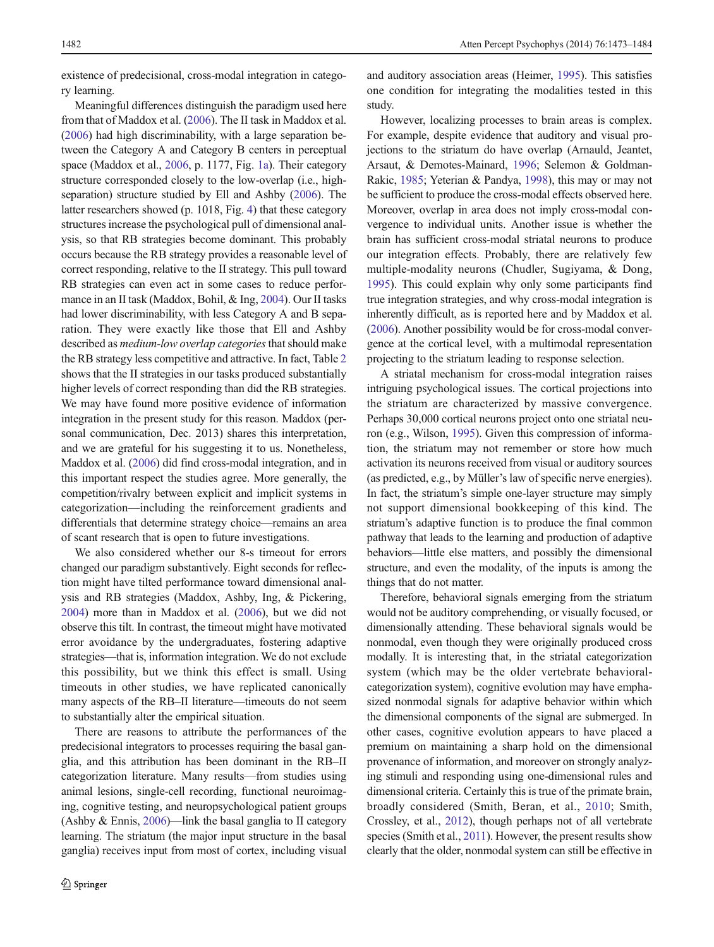existence of predecisional, cross-modal integration in category learning.

Meaningful differences distinguish the paradigm used here from that of Maddox et al. [\(2006\)](#page-10-0). The II task in Maddox et al. [\(2006\)](#page-10-0) had high discriminability, with a large separation between the Category A and Category B centers in perceptual space (Maddox et al., [2006](#page-10-0), p. 1177, Fig. [1a\)](#page-1-0). Their category structure corresponded closely to the low-overlap (i.e., highseparation) structure studied by Ell and Ashby [\(2006\)](#page-10-0). The latter researchers showed (p. 1018, Fig. [4](#page-6-0)) that these category structures increase the psychological pull of dimensional analysis, so that RB strategies become dominant. This probably occurs because the RB strategy provides a reasonable level of correct responding, relative to the II strategy. This pull toward RB strategies can even act in some cases to reduce performance in an II task (Maddox, Bohil, & Ing, [2004\)](#page-10-0). Our II tasks had lower discriminability, with less Category A and B separation. They were exactly like those that Ell and Ashby described as *medium-low overlap categories* that should make the RB strategy less competitive and attractive. In fact, Table [2](#page-6-0) shows that the II strategies in our tasks produced substantially higher levels of correct responding than did the RB strategies. We may have found more positive evidence of information integration in the present study for this reason. Maddox (personal communication, Dec. 2013) shares this interpretation, and we are grateful for his suggesting it to us. Nonetheless, Maddox et al. [\(2006](#page-10-0)) did find cross-modal integration, and in this important respect the studies agree. More generally, the competition/rivalry between explicit and implicit systems in categorization—including the reinforcement gradients and differentials that determine strategy choice—remains an area of scant research that is open to future investigations.

We also considered whether our 8-s timeout for errors changed our paradigm substantively. Eight seconds for reflection might have tilted performance toward dimensional analysis and RB strategies (Maddox, Ashby, Ing, & Pickering, [2004\)](#page-10-0) more than in Maddox et al. ([2006](#page-10-0)), but we did not observe this tilt. In contrast, the timeout might have motivated error avoidance by the undergraduates, fostering adaptive strategies—that is, information integration. We do not exclude this possibility, but we think this effect is small. Using timeouts in other studies, we have replicated canonically many aspects of the RB–II literature—timeouts do not seem to substantially alter the empirical situation.

There are reasons to attribute the performances of the predecisional integrators to processes requiring the basal ganglia, and this attribution has been dominant in the RB–II categorization literature. Many results—from studies using animal lesions, single-cell recording, functional neuroimaging, cognitive testing, and neuropsychological patient groups (Ashby & Ennis, [2006\)](#page-10-0)—link the basal ganglia to II category learning. The striatum (the major input structure in the basal ganglia) receives input from most of cortex, including visual

and auditory association areas (Heimer, [1995](#page-10-0)). This satisfies one condition for integrating the modalities tested in this study.

However, localizing processes to brain areas is complex. For example, despite evidence that auditory and visual projections to the striatum do have overlap (Arnauld, Jeantet, Arsaut, & Demotes-Mainard, [1996;](#page-10-0) Selemon & Goldman-Rakic, [1985](#page-11-0); Yeterian & Pandya, [1998](#page-11-0)), this may or may not be sufficient to produce the cross-modal effects observed here. Moreover, overlap in area does not imply cross-modal convergence to individual units. Another issue is whether the brain has sufficient cross-modal striatal neurons to produce our integration effects. Probably, there are relatively few multiple-modality neurons (Chudler, Sugiyama, & Dong, [1995\)](#page-10-0). This could explain why only some participants find true integration strategies, and why cross-modal integration is inherently difficult, as is reported here and by Maddox et al. [\(2006\)](#page-10-0). Another possibility would be for cross-modal convergence at the cortical level, with a multimodal representation projecting to the striatum leading to response selection.

A striatal mechanism for cross-modal integration raises intriguing psychological issues. The cortical projections into the striatum are characterized by massive convergence. Perhaps 30,000 cortical neurons project onto one striatal neuron (e.g., Wilson, [1995\)](#page-11-0). Given this compression of information, the striatum may not remember or store how much activation its neurons received from visual or auditory sources (as predicted, e.g., by Müller's law of specific nerve energies). In fact, the striatum's simple one-layer structure may simply not support dimensional bookkeeping of this kind. The striatum's adaptive function is to produce the final common pathway that leads to the learning and production of adaptive behaviors—little else matters, and possibly the dimensional structure, and even the modality, of the inputs is among the things that do not matter.

Therefore, behavioral signals emerging from the striatum would not be auditory comprehending, or visually focused, or dimensionally attending. These behavioral signals would be nonmodal, even though they were originally produced cross modally. It is interesting that, in the striatal categorization system (which may be the older vertebrate behavioralcategorization system), cognitive evolution may have emphasized nonmodal signals for adaptive behavior within which the dimensional components of the signal are submerged. In other cases, cognitive evolution appears to have placed a premium on maintaining a sharp hold on the dimensional provenance of information, and moreover on strongly analyzing stimuli and responding using one-dimensional rules and dimensional criteria. Certainly this is true of the primate brain, broadly considered (Smith, Beran, et al., [2010;](#page-11-0) Smith, Crossley, et al., [2012](#page-11-0)), though perhaps not of all vertebrate species (Smith et al., [2011\)](#page-11-0). However, the present results show clearly that the older, nonmodal system can still be effective in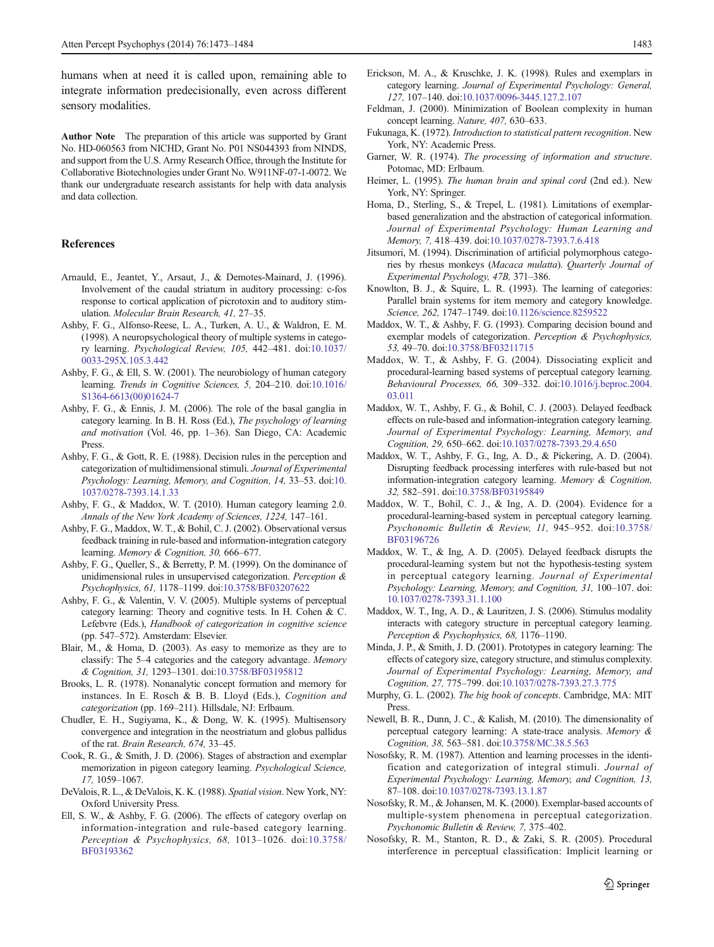<span id="page-10-0"></span>humans when at need it is called upon, remaining able to integrate information predecisionally, even across different sensory modalities.

Author Note The preparation of this article was supported by Grant No. HD-060563 from NICHD, Grant No. P01 NS044393 from NINDS, and support from the U.S. Army Research Office, through the Institute for Collaborative Biotechnologies under Grant No. W911NF-07-1-0072. We thank our undergraduate research assistants for help with data analysis and data collection.

# **References**

- Arnauld, E., Jeantet, Y., Arsaut, J., & Demotes-Mainard, J. (1996). Involvement of the caudal striatum in auditory processing: c-fos response to cortical application of picrotoxin and to auditory stimulation. Molecular Brain Research, 41, 27–35.
- Ashby, F. G., Alfonso-Reese, L. A., Turken, A. U., & Waldron, E. M. (1998). A neuropsychological theory of multiple systems in category learning. Psychological Review, 105, 442–481. doi[:10.1037/](http://dx.doi.org/10.1037/0033-295X.105.3.442) [0033-295X.105.3.442](http://dx.doi.org/10.1037/0033-295X.105.3.442)
- Ashby, F. G., & Ell, S. W. (2001). The neurobiology of human category learning. Trends in Cognitive Sciences, 5, 204–210. doi[:10.1016/](http://dx.doi.org/10.1016/S1364-6613(00)01624-7) [S1364-6613\(00\)01624-7](http://dx.doi.org/10.1016/S1364-6613(00)01624-7)
- Ashby, F. G., & Ennis, J. M. (2006). The role of the basal ganglia in category learning. In B. H. Ross (Ed.), The psychology of learning and motivation (Vol. 46, pp. 1–36). San Diego, CA: Academic Press.
- Ashby, F. G., & Gott, R. E. (1988). Decision rules in the perception and categorization of multidimensional stimuli. Journal of Experimental Psychology: Learning, Memory, and Cognition, 14, 33–53. doi:[10.](http://dx.doi.org/10.1037/0278-7393.14.1.33) [1037/0278-7393.14.1.33](http://dx.doi.org/10.1037/0278-7393.14.1.33)
- Ashby, F. G., & Maddox, W. T. (2010). Human category learning 2.0. Annals of the New York Academy of Sciences, 1224, 147–161.
- Ashby, F. G., Maddox, W. T., & Bohil, C. J. (2002). Observational versus feedback training in rule-based and information-integration category learning. Memory & Cognition, 30, 666–677.
- Ashby, F. G., Queller, S., & Berretty, P. M. (1999). On the dominance of unidimensional rules in unsupervised categorization. Perception & Psychophysics, 61, 1178–1199. doi[:10.3758/BF03207622](http://dx.doi.org/10.3758/BF03207622)
- Ashby, F. G., & Valentin, V. V. (2005). Multiple systems of perceptual category learning: Theory and cognitive tests. In H. Cohen & C. Lefebvre (Eds.), Handbook of categorization in cognitive science (pp. 547–572). Amsterdam: Elsevier.
- Blair, M., & Homa, D. (2003). As easy to memorize as they are to classify: The 5–4 categories and the category advantage. Memory & Cognition, 31, 1293–1301. doi:[10.3758/BF03195812](http://dx.doi.org/10.3758/BF03195812)
- Brooks, L. R. (1978). Nonanalytic concept formation and memory for instances. In E. Rosch & B. B. Lloyd (Eds.), Cognition and categorization (pp. 169–211). Hillsdale, NJ: Erlbaum.
- Chudler, E. H., Sugiyama, K., & Dong, W. K. (1995). Multisensory convergence and integration in the neostriatum and globus pallidus of the rat. Brain Research, 674, 33–45.
- Cook, R. G., & Smith, J. D. (2006). Stages of abstraction and exemplar memorization in pigeon category learning. Psychological Science, 17, 1059–1067.
- DeValois, R. L., & DeValois, K. K. (1988). Spatial vision. New York, NY: Oxford University Press.
- Ell, S. W., & Ashby, F. G. (2006). The effects of category overlap on information-integration and rule-based category learning. Perception & Psychophysics, 68, 1013–1026. doi[:10.3758/](http://dx.doi.org/10.3758/BF03193362) [BF03193362](http://dx.doi.org/10.3758/BF03193362)
- Erickson, M. A., & Kruschke, J. K. (1998). Rules and exemplars in category learning. Journal of Experimental Psychology: General, 127, 107–140. doi:[10.1037/0096-3445.127.2.107](http://dx.doi.org/10.1037/0096-3445.127.2.107)
- Feldman, J. (2000). Minimization of Boolean complexity in human concept learning. Nature, 407, 630–633.
- Fukunaga, K. (1972). Introduction to statistical pattern recognition. New York, NY: Academic Press.
- Garner, W. R. (1974). The processing of information and structure. Potomac, MD: Erlbaum.
- Heimer, L. (1995). The human brain and spinal cord (2nd ed.). New York, NY: Springer.
- Homa, D., Sterling, S., & Trepel, L. (1981). Limitations of exemplarbased generalization and the abstraction of categorical information. Journal of Experimental Psychology: Human Learning and Memory, 7, 418–439. doi:[10.1037/0278-7393.7.6.418](http://dx.doi.org/10.1037/0278-7393.7.6.418)
- Jitsumori, M. (1994). Discrimination of artificial polymorphous categories by rhesus monkeys (Macaca mulatta). Quarterly Journal of Experimental Psychology, 47B, 371–386.
- Knowlton, B. J., & Squire, L. R. (1993). The learning of categories: Parallel brain systems for item memory and category knowledge. Science, 262, 1747–1749. doi[:10.1126/science.8259522](http://dx.doi.org/10.1126/science.8259522)
- Maddox, W. T., & Ashby, F. G. (1993). Comparing decision bound and exemplar models of categorization. Perception & Psychophysics, 53, 49–70. doi[:10.3758/BF03211715](http://dx.doi.org/10.3758/BF03211715)
- Maddox, W. T., & Ashby, F. G. (2004). Dissociating explicit and procedural-learning based systems of perceptual category learning. Behavioural Processes, 66, 309–332. doi[:10.1016/j.beproc.2004.](http://dx.doi.org/10.1016/j.beproc.2004.03.011) [03.011](http://dx.doi.org/10.1016/j.beproc.2004.03.011)
- Maddox, W. T., Ashby, F. G., & Bohil, C. J. (2003). Delayed feedback effects on rule-based and information-integration category learning. Journal of Experimental Psychology: Learning, Memory, and Cognition, 29, 650–662. doi:[10.1037/0278-7393.29.4.650](http://dx.doi.org/10.1037/0278-7393.29.4.650)
- Maddox, W. T., Ashby, F. G., Ing, A. D., & Pickering, A. D. (2004). Disrupting feedback processing interferes with rule-based but not information-integration category learning. Memory & Cognition, 32, 582–591. doi:[10.3758/BF03195849](http://dx.doi.org/10.3758/BF03195849)
- Maddox, W. T., Bohil, C. J., & Ing, A. D. (2004). Evidence for a procedural-learning-based system in perceptual category learning. Psychonomic Bulletin & Review, 11, 945–952. doi:[10.3758/](http://dx.doi.org/10.3758/BF03196726) [BF03196726](http://dx.doi.org/10.3758/BF03196726)
- Maddox, W. T., & Ing, A. D. (2005). Delayed feedback disrupts the procedural-learning system but not the hypothesis-testing system in perceptual category learning. Journal of Experimental Psychology: Learning, Memory, and Cognition, 31, 100–107. doi: [10.1037/0278-7393.31.1.100](http://dx.doi.org/10.1037/0278-7393.31.1.100)
- Maddox, W. T., Ing, A. D., & Lauritzen, J. S. (2006). Stimulus modality interacts with category structure in perceptual category learning. Perception & Psychophysics, 68, 1176–1190.
- Minda, J. P., & Smith, J. D. (2001). Prototypes in category learning: The effects of category size, category structure, and stimulus complexity. Journal of Experimental Psychology: Learning, Memory, and Cognition, 27, 775–799. doi:[10.1037/0278-7393.27.3.775](http://dx.doi.org/10.1037/0278-7393.27.3.775)
- Murphy, G. L. (2002). The big book of concepts. Cambridge, MA: MIT Press.
- Newell, B. R., Dunn, J. C., & Kalish, M. (2010). The dimensionality of perceptual category learning: A state-trace analysis. Memory & Cognition, 38, 563–581. doi:[10.3758/MC.38.5.563](http://dx.doi.org/10.3758/MC.38.5.563)
- Nosofsky, R. M. (1987). Attention and learning processes in the identification and categorization of integral stimuli. Journal of Experimental Psychology: Learning, Memory, and Cognition, 13, 87–108. doi[:10.1037/0278-7393.13.1.87](http://dx.doi.org/10.1037/0278-7393.13.1.87)
- Nosofsky, R. M., & Johansen, M. K. (2000). Exemplar-based accounts of multiple-system phenomena in perceptual categorization. Psychonomic Bulletin & Review, 7, 375–402.
- Nosofsky, R. M., Stanton, R. D., & Zaki, S. R. (2005). Procedural interference in perceptual classification: Implicit learning or